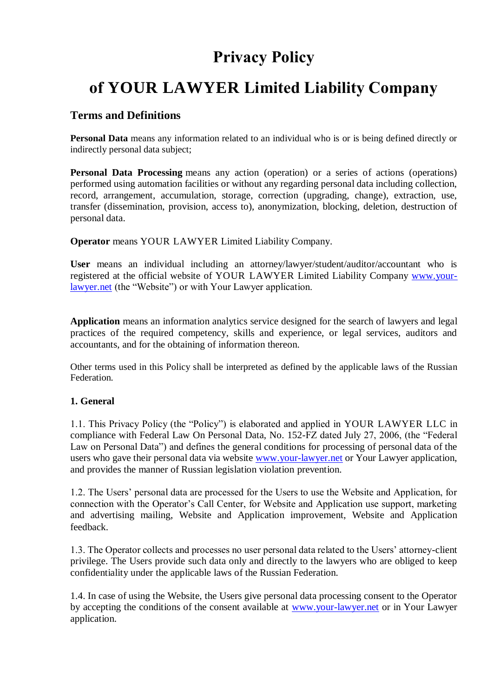## **Privacy Policy**

# **of YOUR LAWYER Limited Liability Company**

## **Terms and Definitions**

**Personal Data** means any information related to an individual who is or is being defined directly or indirectly personal data subject;

**Personal Data Processing** means any action (operation) or a series of actions (operations) performed using automation facilities or without any regarding personal data including collection, record, arrangement, accumulation, storage, correction (upgrading, change), extraction, use, transfer (dissemination, provision, access to), anonymization, blocking, deletion, destruction of personal data.

**Operator** means YOUR LAWYER Limited Liability Company.

**User** means an individual including an attorney/lawyer/student/auditor/accountant who is registered at the official website of YOUR LAWYER Limited Liability Company [www.your](http://www.your-lawyer.net/)[lawyer.net](http://www.your-lawyer.net/) (the "Website") or with Your Lawyer application.

**Application** means an information analytics service designed for the search of lawyers and legal practices of the required competency, skills and experience, or legal services, auditors and accountants, and for the obtaining of information thereon.

Other terms used in this Policy shall be interpreted as defined by the applicable laws of the Russian Federation.

#### **1. General**

1.1. This Privacy Policy (the "Policy") is elaborated and applied in YOUR LAWYER LLC in compliance with Federal Law On Personal Data, No. 152-FZ dated July 27, 2006, (the "Federal Law on Personal Data") and defines the general conditions for processing of personal data of the users who gave their personal data via website [www.your-lawyer.net](http://www.your-lawyer.net/) or Your Lawyer application, and provides the manner of Russian legislation violation prevention.

1.2. The Users' personal data are processed for the Users to use the Website and Application, for connection with the Operator's Call Center, for Website and Application use support, marketing and advertising mailing, Website and Application improvement, Website and Application feedback.

1.3. The Operator collects and processes no user personal data related to the Users' attorney-client privilege. The Users provide such data only and directly to the lawyers who are obliged to keep confidentiality under the applicable laws of the Russian Federation.

1.4. In case of using the Website, the Users give personal data processing consent to the Operator by accepting the conditions of the consent available at [www.your-lawyer.net](http://www.your-lawyer.net/) or in Your Lawyer application.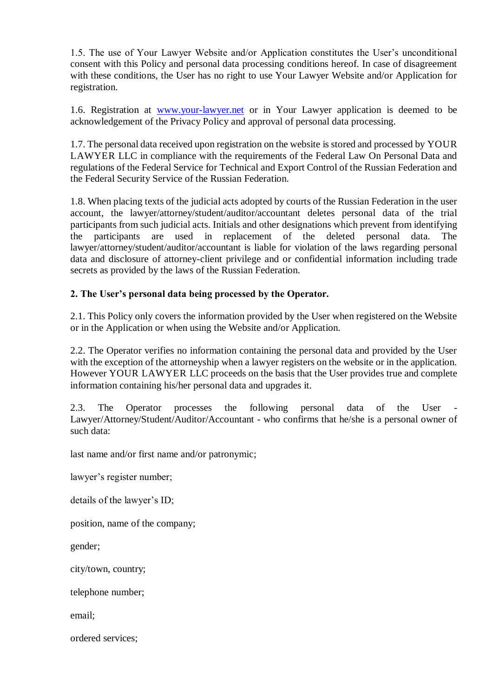1.5. The use of Your Lawyer Website and/or Application constitutes the User's unconditional consent with this Policy and personal data processing conditions hereof. In case of disagreement with these conditions, the User has no right to use Your Lawyer Website and/or Application for registration.

1.6. Registration at [www.your-lawyer.net](http://www.your-lawyer.net/) or in Your Lawyer application is deemed to be acknowledgement of the Privacy Policy and approval of personal data processing.

1.7. The personal data received upon registration on the website is stored and processed by YOUR LAWYER LLC in compliance with the requirements of the Federal Law On Personal Data and regulations of the Federal Service for Technical and Export Control of the Russian Federation and the Federal Security Service of the Russian Federation.

1.8. When placing texts of the judicial acts adopted by courts of the Russian Federation in the user account, the lawyer/attorney/student/auditor/accountant deletes personal data of the trial participants from such judicial acts. Initials and other designations which prevent from identifying the participants are used in replacement of the deleted personal data. The lawyer/attorney/student/auditor/accountant is liable for violation of the laws regarding personal data and disclosure of attorney-client privilege and or confidential information including trade secrets as provided by the laws of the Russian Federation.

## **2. The User's personal data being processed by the Operator.**

2.1. This Policy only covers the information provided by the User when registered on the Website or in the Application or when using the Website and/or Application.

2.2. The Operator verifies no information containing the personal data and provided by the User with the exception of the attorneyship when a lawyer registers on the website or in the application. However YOUR LAWYER LLC proceeds on the basis that the User provides true and complete information containing his/her personal data and upgrades it.

2.3. The Operator processes the following personal data of the User - Lawyer/Attorney/Student/Auditor/Accountant - who confirms that he/she is a personal owner of such data:

last name and/or first name and/or patronymic;

lawyer's register number;

details of the lawyer's ID;

position, name of the company;

gender;

city/town, country;

telephone number;

email;

ordered services;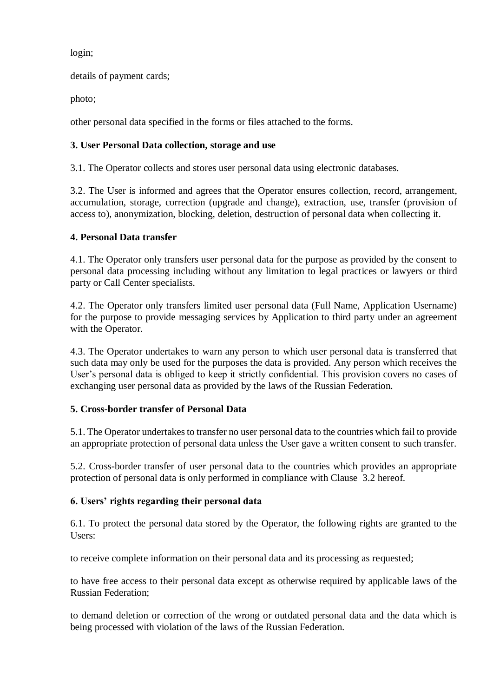login;

details of payment cards;

photo;

other personal data specified in the forms or files attached to the forms.

## **3. User Personal Data collection, storage and use**

3.1. The Operator collects and stores user personal data using electronic databases.

3.2. The User is informed and agrees that the Operator ensures collection, record, arrangement, accumulation, storage, correction (upgrade and change), extraction, use, transfer (provision of access to), anonymization, blocking, deletion, destruction of personal data when collecting it.

## **4. Personal Data transfer**

4.1. The Operator only transfers user personal data for the purpose as provided by the consent to personal data processing including without any limitation to legal practices or lawyers or third party or Call Center specialists.

4.2. The Operator only transfers limited user personal data (Full Name, Application Username) for the purpose to provide messaging services by Application to third party under an agreement with the Operator.

4.3. The Operator undertakes to warn any person to which user personal data is transferred that such data may only be used for the purposes the data is provided. Any person which receives the User's personal data is obliged to keep it strictly confidential. This provision covers no cases of exchanging user personal data as provided by the laws of the Russian Federation.

#### **5. Cross-border transfer of Personal Data**

5.1. The Operator undertakes to transfer no user personal data to the countries which fail to provide an appropriate protection of personal data unless the User gave a written consent to such transfer.

5.2. Cross-border transfer of user personal data to the countries which provides an appropriate protection of personal data is only performed in compliance with Clause 3.2 hereof.

#### **6. Users' rights regarding their personal data**

6.1. To protect the personal data stored by the Operator, the following rights are granted to the Users:

to receive complete information on their personal data and its processing as requested;

to have free access to their personal data except as otherwise required by applicable laws of the Russian Federation;

to demand deletion or correction of the wrong or outdated personal data and the data which is being processed with violation of the laws of the Russian Federation.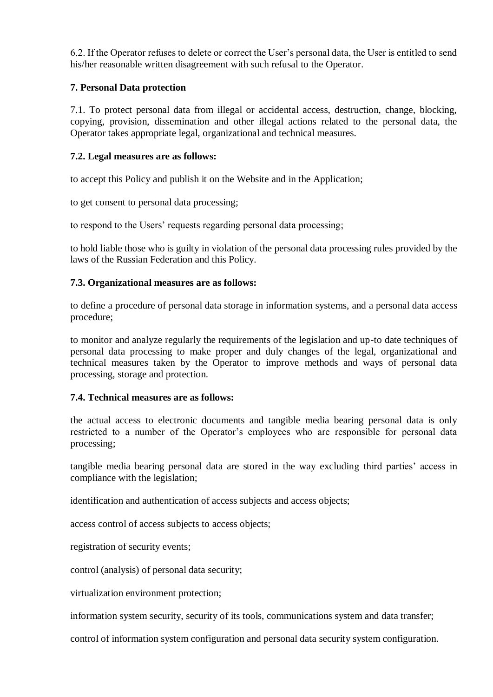6.2. If the Operator refuses to delete or correct the User's personal data, the User is entitled to send his/her reasonable written disagreement with such refusal to the Operator.

## **7. Personal Data protection**

7.1. To protect personal data from illegal or accidental access, destruction, change, blocking, copying, provision, dissemination and other illegal actions related to the personal data, the Operator takes appropriate legal, organizational and technical measures.

#### **7.2. Legal measures are as follows:**

to accept this Policy and publish it on the Website and in the Application;

to get consent to personal data processing;

to respond to the Users' requests regarding personal data processing;

to hold liable those who is guilty in violation of the personal data processing rules provided by the laws of the Russian Federation and this Policy.

#### **7.3. Organizational measures are as follows:**

to define a procedure of personal data storage in information systems, and a personal data access procedure;

to monitor and analyze regularly the requirements of the legislation and up-to date techniques of personal data processing to make proper and duly changes of the legal, organizational and technical measures taken by the Operator to improve methods and ways of personal data processing, storage and protection.

#### **7.4. Technical measures are as follows:**

the actual access to electronic documents and tangible media bearing personal data is only restricted to a number of the Operator's employees who are responsible for personal data processing;

tangible media bearing personal data are stored in the way excluding third parties' access in compliance with the legislation;

identification and authentication of access subjects and access objects;

access control of access subjects to access objects;

registration of security events;

control (analysis) of personal data security;

virtualization environment protection;

information system security, security of its tools, communications system and data transfer;

control of information system configuration and personal data security system configuration.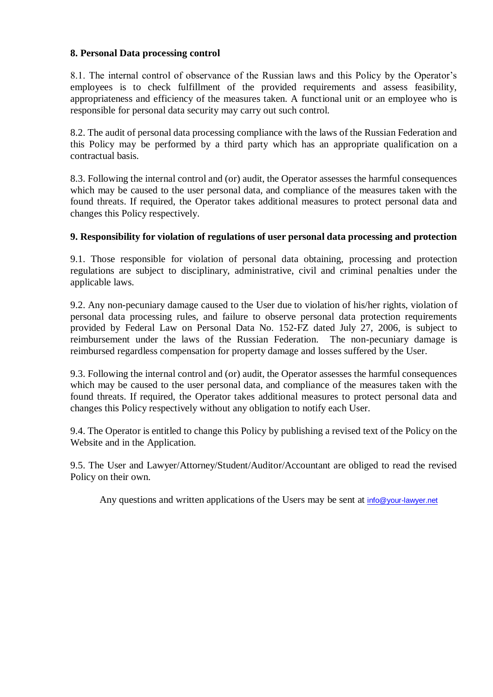#### **8. Personal Data processing control**

8.1. The internal control of observance of the Russian laws and this Policy by the Operator's employees is to check fulfillment of the provided requirements and assess feasibility, appropriateness and efficiency of the measures taken. A functional unit or an employee who is responsible for personal data security may carry out such control.

8.2. The audit of personal data processing compliance with the laws of the Russian Federation and this Policy may be performed by a third party which has an appropriate qualification on a contractual basis.

8.3. Following the internal control and (or) audit, the Operator assesses the harmful consequences which may be caused to the user personal data, and compliance of the measures taken with the found threats. If required, the Operator takes additional measures to protect personal data and changes this Policy respectively.

#### **9. Responsibility for violation of regulations of user personal data processing and protection**

9.1. Those responsible for violation of personal data obtaining, processing and protection regulations are subject to disciplinary, administrative, civil and criminal penalties under the applicable laws.

9.2. Any non-pecuniary damage caused to the User due to violation of his/her rights, violation of personal data processing rules, and failure to observe personal data protection requirements provided by Federal Law on Personal Data No. 152-FZ dated July 27, 2006, is subject to reimbursement under the laws of the Russian Federation. The non-pecuniary damage is reimbursed regardless compensation for property damage and losses suffered by the User.

9.3. Following the internal control and (or) audit, the Operator assesses the harmful consequences which may be caused to the user personal data, and compliance of the measures taken with the found threats. If required, the Operator takes additional measures to protect personal data and changes this Policy respectively without any obligation to notify each User.

9.4. The Operator is entitled to change this Policy by publishing a revised text of the Policy on the Website and in the Application.

9.5. The User and Lawyer/Attorney/Student/Auditor/Accountant are obliged to read the revised Policy on their own.

Any questions and written applications of the Users may be sent at [info@your-lawyer.net](mailto:info@your-lawyer.net)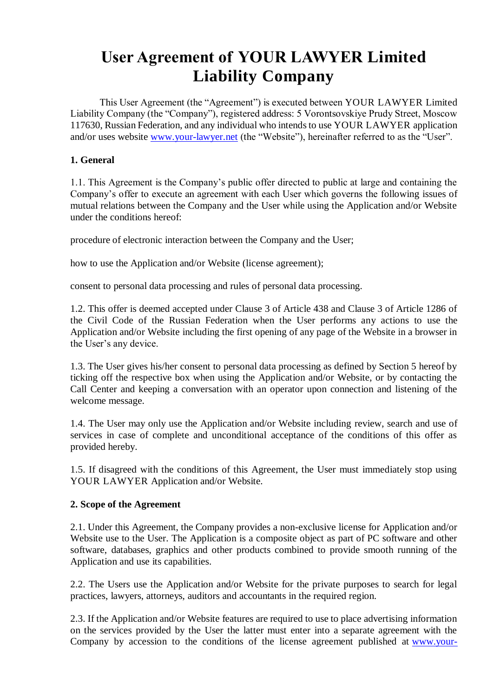# **User Agreement of YOUR LAWYER Limited Liability Company**

This User Agreement (the "Agreement") is executed between YOUR LAWYER Limited Liability Company (the "Company"), registered address: 5 Vorontsovskiye Prudy Street, Moscow 117630, Russian Federation, and any individual who intends to use YOUR LAWYER application and/or uses website [www.your-lawyer.net](http://www.your-lawyer.net/) (the "Website"), hereinafter referred to as the "User".

## **1. General**

1.1. This Agreement is the Company's public offer directed to public at large and containing the Company's offer to execute an agreement with each User which governs the following issues of mutual relations between the Company and the User while using the Application and/or Website under the conditions hereof:

procedure of electronic interaction between the Company and the User;

how to use the Application and/or Website (license agreement);

consent to personal data processing and rules of personal data processing.

1.2. This offer is deemed accepted under Clause 3 of Article 438 and Clause 3 of Article 1286 of the Civil Code of the Russian Federation when the User performs any actions to use the Application and/or Website including the first opening of any page of the Website in a browser in the User's any device.

1.3. The User gives his/her consent to personal data processing as defined by Section 5 hereof by ticking off the respective box when using the Application and/or Website, or by contacting the Call Center and keeping a conversation with an operator upon connection and listening of the welcome message.

1.4. The User may only use the Application and/or Website including review, search and use of services in case of complete and unconditional acceptance of the conditions of this offer as provided hereby.

1.5. If disagreed with the conditions of this Agreement, the User must immediately stop using YOUR LAWYER Application and/or Website.

#### **2. Scope of the Agreement**

2.1. Under this Agreement, the Company provides a non-exclusive license for Application and/or Website use to the User. The Application is a composite object as part of PC software and other software, databases, graphics and other products combined to provide smooth running of the Application and use its capabilities.

2.2. The Users use the Application and/or Website for the private purposes to search for legal practices, lawyers, attorneys, auditors and accountants in the required region.

2.3. If the Application and/or Website features are required to use to place advertising information on the services provided by the User the latter must enter into a separate agreement with the Company by accession to the conditions of the license agreement published at [www.your-](http://www.your-lawyer.net/)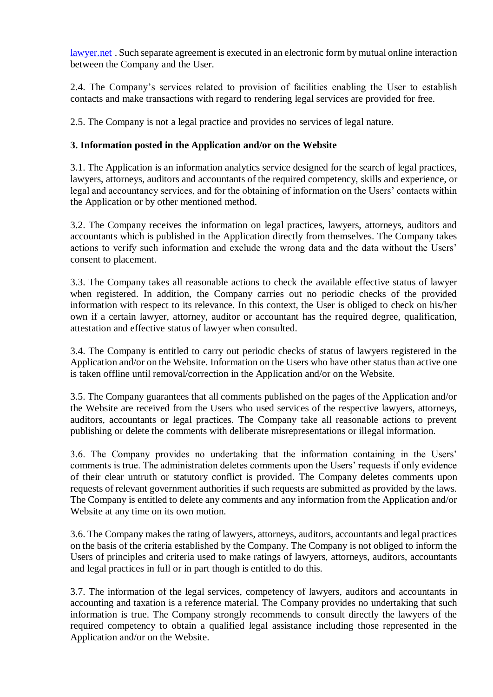[lawyer.net](http://www.your-lawyer.net/) . Such separate agreement is executed in an electronic form by mutual online interaction between the Company and the User.

2.4. The Company's services related to provision of facilities enabling the User to establish contacts and make transactions with regard to rendering legal services are provided for free.

2.5. The Company is not a legal practice and provides no services of legal nature.

## **3. Information posted in the Application and/or on the Website**

3.1. The Application is an information analytics service designed for the search of legal practices, lawyers, attorneys, auditors and accountants of the required competency, skills and experience, or legal and accountancy services, and for the obtaining of information on the Users' contacts within the Application or by other mentioned method.

3.2. The Company receives the information on legal practices, lawyers, attorneys, auditors and accountants which is published in the Application directly from themselves. The Company takes actions to verify such information and exclude the wrong data and the data without the Users' consent to placement.

3.3. The Company takes all reasonable actions to check the available effective status of lawyer when registered. In addition, the Company carries out no periodic checks of the provided information with respect to its relevance. In this context, the User is obliged to check on his/her own if a certain lawyer, attorney, auditor or accountant has the required degree, qualification, attestation and effective status of lawyer when consulted.

3.4. The Company is entitled to carry out periodic checks of status of lawyers registered in the Application and/or on the Website. Information on the Users who have other status than active one is taken offline until removal/correction in the Application and/or on the Website.

3.5. The Company guarantees that all comments published on the pages of the Application and/or the Website are received from the Users who used services of the respective lawyers, attorneys, auditors, accountants or legal practices. The Company take all reasonable actions to prevent publishing or delete the comments with deliberate misrepresentations or illegal information.

3.6. The Company provides no undertaking that the information containing in the Users' comments is true. The administration deletes comments upon the Users' requests if only evidence of their clear untruth or statutory conflict is provided. The Company deletes comments upon requests of relevant government authorities if such requests are submitted as provided by the laws. The Company is entitled to delete any comments and any information from the Application and/or Website at any time on its own motion.

3.6. The Company makes the rating of lawyers, attorneys, auditors, accountants and legal practices on the basis of the criteria established by the Company. The Company is not obliged to inform the Users of principles and criteria used to make ratings of lawyers, attorneys, auditors, accountants and legal practices in full or in part though is entitled to do this.

3.7. The information of the legal services, competency of lawyers, auditors and accountants in accounting and taxation is a reference material. The Company provides no undertaking that such information is true. The Company strongly recommends to consult directly the lawyers of the required competency to obtain a qualified legal assistance including those represented in the Application and/or on the Website.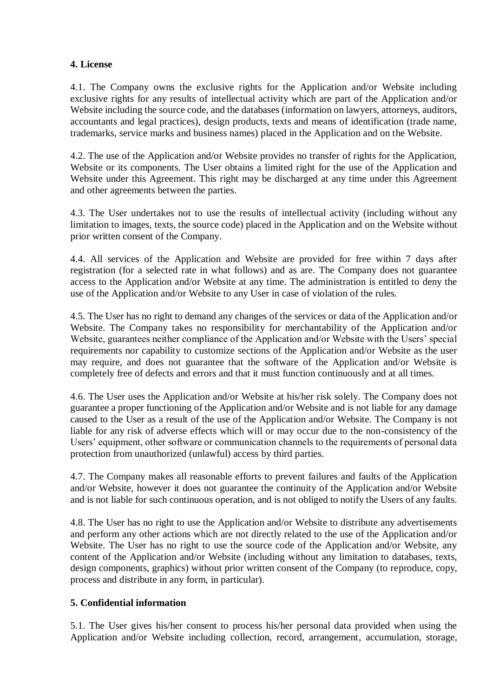#### **4. License**

4.1. The Company owns the exclusive rights for the Application and/or Website including exclusive rights for any results of intellectual activity which are part of the Application and/or Website including the source code, and the databases (information on lawyers, attorneys, auditors, accountants and legal practices), design products, texts and means of identification (trade name, trademarks, service marks and business names) placed in the Application and on the Website.

4.2. The use of the Application and/or Website provides no transfer of rights for the Application, Website or its components. The User obtains a limited right for the use of the Application and Website under this Agreement. This right may be discharged at any time under this Agreement and other agreements between the parties.

4.3. The User undertakes not to use the results of intellectual activity (including without any limitation to images, texts, the source code) placed in the Application and on the Website without prior written consent of the Company.

4.4. All services of the Application and Website are provided for free within 7 days after registration (for a selected rate in what follows) and as are. The Company does not guarantee access to the Application and/or Website at any time. The administration is entitled to deny the use of the Application and/or Website to any User in case of violation of the rules.

4.5. The User has no right to demand any changes of the services or data of the Application and/or Website. The Company takes no responsibility for merchantability of the Application and/or Website, guarantees neither compliance of the Application and/or Website with the Users' special requirements nor capability to customize sections of the Application and/or Website as the user may require, and does not guarantee that the software of the Application and/or Website is completely free of defects and errors and that it must function continuously and at all times.

4.6. The User uses the Application and/or Website at his/her risk solely. The Company does not guarantee a proper functioning of the Application and/or Website and is not liable for any damage caused to the User as a result of the use of the Application and/or Website. The Company is not liable for any risk of adverse effects which will or may occur due to the non-consistency of the Users' equipment, other software or communication channels to the requirements of personal data protection from unauthorized (unlawful) access by third parties.

4.7. The Company makes all reasonable efforts to prevent failures and faults of the Application and/or Website, however it does not guarantee the continuity of the Application and/or Website and is not liable for such continuous operation, and is not obliged to notify the Users of any faults.

4.8. The User has no right to use the Application and/or Website to distribute any advertisements and perform any other actions which are not directly related to the use of the Application and/or Website. The User has no right to use the source code of the Application and/or Website, any content of the Application and/or Website (including without any limitation to databases, texts, design components, graphics) without prior written consent of the Company (to reproduce, copy, process and distribute in any form, in particular).

#### **5. Confidential information**

5.1. The User gives his/her consent to process his/her personal data provided when using the Application and/or Website including collection, record, arrangement, accumulation, storage,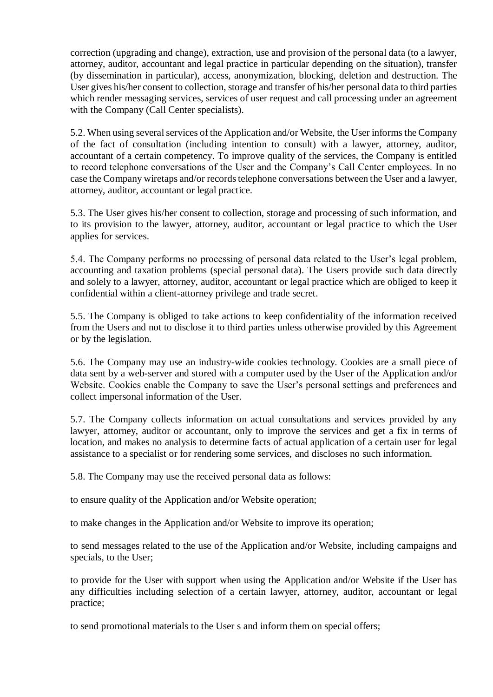correction (upgrading and change), extraction, use and provision of the personal data (to a lawyer, attorney, auditor, accountant and legal practice in particular depending on the situation), transfer (by dissemination in particular), access, anonymization, blocking, deletion and destruction. The User gives his/her consent to collection, storage and transfer of his/her personal data to third parties which render messaging services, services of user request and call processing under an agreement with the Company (Call Center specialists).

5.2. When using several services of the Application and/or Website, the User informs the Company of the fact of consultation (including intention to consult) with a lawyer, attorney, auditor, accountant of a certain competency. To improve quality of the services, the Company is entitled to record telephone conversations of the User and the Company's Call Center employees. In no case the Company wiretaps and/or records telephone conversations between the User and a lawyer, attorney, auditor, accountant or legal practice.

5.3. The User gives his/her consent to collection, storage and processing of such information, and to its provision to the lawyer, attorney, auditor, accountant or legal practice to which the User applies for services.

5.4. The Company performs no processing of personal data related to the User's legal problem, accounting and taxation problems (special personal data). The Users provide such data directly and solely to a lawyer, attorney, auditor, accountant or legal practice which are obliged to keep it confidential within a client-attorney privilege and trade secret.

5.5. The Company is obliged to take actions to keep confidentiality of the information received from the Users and not to disclose it to third parties unless otherwise provided by this Agreement or by the legislation.

5.6. The Company may use an industry-wide cookies technology. Cookies are a small piece of data sent by a web-server and stored with a computer used by the User of the Application and/or Website. Cookies enable the Company to save the User's personal settings and preferences and collect impersonal information of the User.

5.7. The Company collects information on actual consultations and services provided by any lawyer, attorney, auditor or accountant, only to improve the services and get a fix in terms of location, and makes no analysis to determine facts of actual application of a certain user for legal assistance to a specialist or for rendering some services, and discloses no such information.

5.8. The Company may use the received personal data as follows:

to ensure quality of the Application and/or Website operation;

to make changes in the Application and/or Website to improve its operation;

to send messages related to the use of the Application and/or Website, including campaigns and specials, to the User;

to provide for the User with support when using the Application and/or Website if the User has any difficulties including selection of a certain lawyer, attorney, auditor, accountant or legal practice;

to send promotional materials to the User s and inform them on special offers;